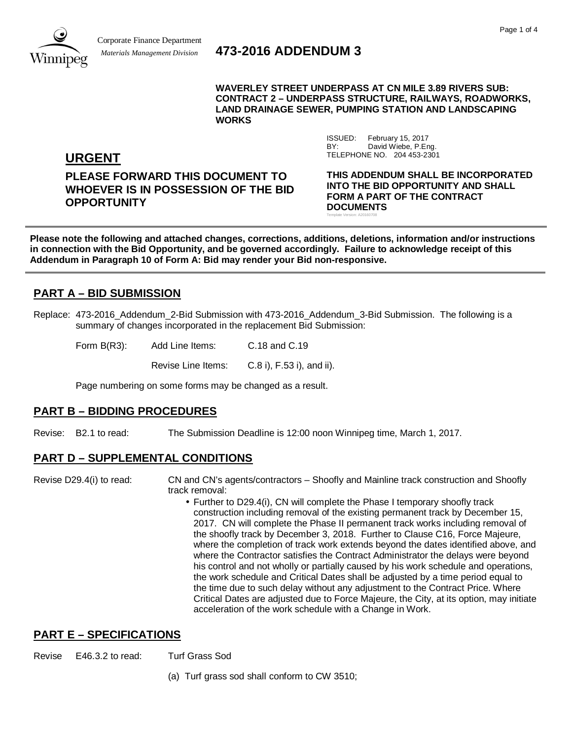

# *Materials Management Division* **473-2016 ADDENDUM 3**

**WAVERLEY STREET UNDERPASS AT CN MILE 3.89 RIVERS SUB: CONTRACT 2 – UNDERPASS STRUCTURE, RAILWAYS, ROADWORKS, LAND DRAINAGE SEWER, PUMPING STATION AND LANDSCAPING WORKS**

> ISSUED: February 15, 2017 BY: David Wiebe, P.Eng.

Template Version: A20160708

TELEPHONE NO. 204 453-2301

**URGENT**

**PLEASE FORWARD THIS DOCUMENT TO WHOEVER IS IN POSSESSION OF THE BID OPPORTUNITY**

**THIS ADDENDUM SHALL BE INCORPORATED INTO THE BID OPPORTUNITY AND SHALL FORM A PART OF THE CONTRACT DOCUMENTS**

**Please note the following and attached changes, corrections, additions, deletions, information and/or instructions in connection with the Bid Opportunity, and be governed accordingly. Failure to acknowledge receipt of this Addendum in Paragraph 10 of Form A: Bid may render your Bid non-responsive.**

## **PART A – BID SUBMISSION**

Replace: 473-2016 Addendum 2-Bid Submission with 473-2016 Addendum 3-Bid Submission. The following is a summary of changes incorporated in the replacement Bid Submission:

Form B(R3): Add Line Items: C.18 and C.19

Revise Line Items: C.8 i), F.53 i), and ii).

Page numbering on some forms may be changed as a result.

### **PART B – BIDDING PROCEDURES**

Revise: B2.1 to read: The Submission Deadline is 12:00 noon Winnipeg time, March 1, 2017.

### **PART D – SUPPLEMENTAL CONDITIONS**

Revise D29.4(i) to read: CN and CN's agents/contractors – Shoofly and Mainline track construction and Shoofly track removal:

> Further to D29.4(i), CN will complete the Phase I temporary shoofly track construction including removal of the existing permanent track by December 15, 2017. CN will complete the Phase II permanent track works including removal of the shoofly track by December 3, 2018. Further to Clause C16, Force Majeure, where the completion of track work extends beyond the dates identified above, and where the Contractor satisfies the Contract Administrator the delays were beyond his control and not wholly or partially caused by his work schedule and operations, the work schedule and Critical Dates shall be adjusted by a time period equal to the time due to such delay without any adjustment to the Contract Price. Where Critical Dates are adjusted due to Force Majeure, the City, at its option, may initiate acceleration of the work schedule with a Change in Work.

### **PART E – SPECIFICATIONS**

Revise E46.3.2 to read: Turf Grass Sod

(a) Turf grass sod shall conform to CW 3510;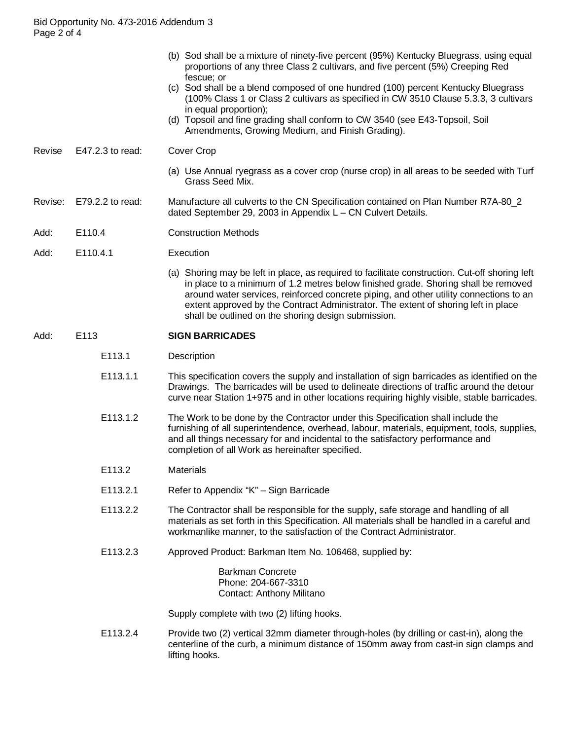- (b) Sod shall be a mixture of ninety-five percent (95%) Kentucky Bluegrass, using equal proportions of any three Class 2 cultivars, and five percent (5%) Creeping Red fescue; or
- (c) Sod shall be a blend composed of one hundred (100) percent Kentucky Bluegrass (100% Class 1 or Class 2 cultivars as specified in CW 3510 Clause 5.3.3, 3 cultivars in equal proportion);
- (d) Topsoil and fine grading shall conform to CW 3540 (see E43-Topsoil, Soil Amendments, Growing Medium, and Finish Grading).
- Revise E47.2.3 to read: Cover Crop
	- (a) Use Annual ryegrass as a cover crop (nurse crop) in all areas to be seeded with Turf Grass Seed Mix.
- Revise: E79.2.2 to read: Manufacture all culverts to the CN Specification contained on Plan Number R7A-80\_2 dated September 29, 2003 in Appendix L – CN Culvert Details.
- Add: E110.4 Construction Methods
- Add: E110.4.1 Execution
	- (a) Shoring may be left in place, as required to facilitate construction. Cut-off shoring left in place to a minimum of 1.2 metres below finished grade. Shoring shall be removed around water services, reinforced concrete piping, and other utility connections to an extent approved by the Contract Administrator. The extent of shoring left in place shall be outlined on the shoring design submission.

#### Add: E113 **SIGN BARRICADES**

- E113.1 Description
- E113.1.1 This specification covers the supply and installation of sign barricades as identified on the Drawings. The barricades will be used to delineate directions of traffic around the detour curve near Station 1+975 and in other locations requiring highly visible, stable barricades.
- E113.1.2 The Work to be done by the Contractor under this Specification shall include the furnishing of all superintendence, overhead, labour, materials, equipment, tools, supplies, and all things necessary for and incidental to the satisfactory performance and completion of all Work as hereinafter specified.
- E113.2 Materials
- E113.2.1 Refer to Appendix "K" Sign Barricade
- E113.2.2 The Contractor shall be responsible for the supply, safe storage and handling of all materials as set forth in this Specification. All materials shall be handled in a careful and workmanlike manner, to the satisfaction of the Contract Administrator.
- E113.2.3 Approved Product: Barkman Item No. 106468, supplied by:

Barkman Concrete Phone: 204-667-3310 Contact: Anthony Militano

Supply complete with two (2) lifting hooks.

E113.2.4 Provide two (2) vertical 32mm diameter through-holes (by drilling or cast-in), along the centerline of the curb, a minimum distance of 150mm away from cast-in sign clamps and lifting hooks.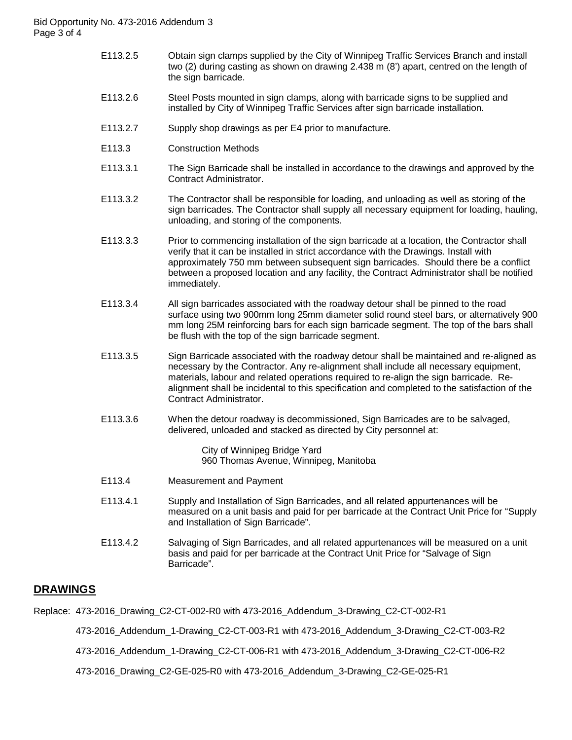- E113.2.5 Obtain sign clamps supplied by the City of Winnipeg Traffic Services Branch and install two (2) during casting as shown on drawing 2.438 m (8') apart, centred on the length of the sign barricade.
- E113.2.6 Steel Posts mounted in sign clamps, along with barricade signs to be supplied and installed by City of Winnipeg Traffic Services after sign barricade installation.
- E113.2.7 Supply shop drawings as per E4 prior to manufacture.
- E113.3 Construction Methods
- E113.3.1 The Sign Barricade shall be installed in accordance to the drawings and approved by the Contract Administrator.
- E113.3.2 The Contractor shall be responsible for loading, and unloading as well as storing of the sign barricades. The Contractor shall supply all necessary equipment for loading, hauling, unloading, and storing of the components.
- E113.3.3 Prior to commencing installation of the sign barricade at a location, the Contractor shall verify that it can be installed in strict accordance with the Drawings. Install with approximately 750 mm between subsequent sign barricades. Should there be a conflict between a proposed location and any facility, the Contract Administrator shall be notified immediately.
- E113.3.4 All sign barricades associated with the roadway detour shall be pinned to the road surface using two 900mm long 25mm diameter solid round steel bars, or alternatively 900 mm long 25M reinforcing bars for each sign barricade segment. The top of the bars shall be flush with the top of the sign barricade segment.
- E113.3.5 Sign Barricade associated with the roadway detour shall be maintained and re-aligned as necessary by the Contractor. Any re-alignment shall include all necessary equipment, materials, labour and related operations required to re-align the sign barricade. Realignment shall be incidental to this specification and completed to the satisfaction of the Contract Administrator.
- E113.3.6 When the detour roadway is decommissioned, Sign Barricades are to be salvaged, delivered, unloaded and stacked as directed by City personnel at:

City of Winnipeg Bridge Yard 960 Thomas Avenue, Winnipeg, Manitoba

- E113.4 Measurement and Payment
- E113.4.1 Supply and Installation of Sign Barricades, and all related appurtenances will be measured on a unit basis and paid for per barricade at the Contract Unit Price for "Supply and Installation of Sign Barricade".
- E113.4.2 Salvaging of Sign Barricades, and all related appurtenances will be measured on a unit basis and paid for per barricade at the Contract Unit Price for "Salvage of Sign Barricade".

### **DRAWINGS**

Replace: 473-2016\_Drawing\_C2-CT-002-R0 with 473-2016\_Addendum\_3-Drawing\_C2-CT-002-R1

473-2016\_Addendum\_1-Drawing\_C2-CT-003-R1 with 473-2016\_Addendum\_3-Drawing\_C2-CT-003-R2

473-2016\_Addendum\_1-Drawing\_C2-CT-006-R1 with 473-2016\_Addendum\_3-Drawing\_C2-CT-006-R2

473-2016\_Drawing\_C2-GE-025-R0 with 473-2016\_Addendum\_3-Drawing\_C2-GE-025-R1